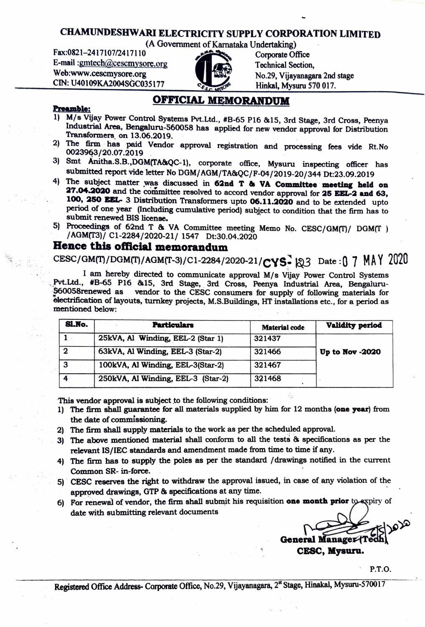## **CHAMUNDESHW ARI ELECTRICITY SUPPLY CORPORATION LIMITED**  CHAMUNDESHWARI ELECTRICITY SUPPLY CORPORA<br>
(A Government of Karnataka Undertaking)<br>
Fax:0821-2417107/2417110<br>
E-mail :gmtech@cescmysore.org<br>
Technical Section

(A Government of Karnataka Undertaking)<br>Cornorate Of

E-mail :gmtecb@cescmysore.org . Technica~\_Section,



No.29, Vijayanagara 2nd stage  $CIN: U40109KA2004SGC035177$   $C_{6.0}$   $C_{6.0}$  Hinkal, Mysuru 570 017.

## **Preamble:**

1) M/s Vijay Power Control Systems Pvt.Ltd., #B-65 Pl6 &15, 3rd Stage, 3rd Cross, Peenya Industrial Area, Bengaluru-560058 has applied for new vendor approval for Distribution Transformers on 13.06.2019.

**OFFICIAL MEMORANDUM** 

- 2) The firm · has paid Vendor approval registration and processing fees vide Rt.No  $0023963/20.07.2019$  .  $0.0023963/20.07.2019$
- 3) Smt Anitha.S.B.,DGM(TA&QC-1), corporate office, Mysuru inspecting officer has submitted report vide letter No DOM/ AGM/TA&QC/F-04/2019-20/344 Dt:23.09.2019
- 4) The subject matter was discussed in **62nd T & VA Committee meeting held on :Z7.04.2020** and the committee resolved to accord vendor approval for **:ZS EBL-2 and 63,**  100, 250 **BBL-** 3 Distribution Transformers upto 06.11.2020 and to be extended upto period of one year (Including cumulative period) subject to condition that the firm has to submit renewed BIS license.
- 5) Proceedings of 62nd T & VA Committee meeting Memo No. CESC/GM(T)/ DGM(T ) /AGM(T3)/ C1-2284/2020-21/ 1547 Dt:30.04.2020

## **Bence this oftlcial memorandum**

CESC/GM(T)/DGM(T)/AGM(T-3)/C1-2284/2020-21/CYS- 23 Date:0 7 MAY 2020

I am hereby directed to communicate approval M/s Vijay Power Control Systems Pvt.Ltd., #B-65 P16 &15, 3rd Stage, 3rd Cross, Peenya Industrial Area, Bengaluru-<br>560058renewed as vendor to the CESC consumers for supply of following materials for vendor to the CESC consumers for supply of following materials for electrification of layouts, turnkey projects, M.S.Buildings, HT installations etc., for a period as mentioned below:

| Sl.No. | <b>Particulars</b>                 | <b>Material code</b> | <b>Validity period</b> |
|--------|------------------------------------|----------------------|------------------------|
|        | 25kVA, Al Winding, EEL-2 (Star 1)  | 321437               |                        |
| 2      | 63kVA, Al Winding, EEL-3 (Star-2)  | 321466               | Up to Nov -2020        |
| З      | 100kVA, Al Winding, EEL-3(Star-2)  | 321467               |                        |
|        | 250kVA, Al Winding, EEL-3 (Star-2) | 321468               |                        |

This vendor approval is subject to the following conditions:

- 1) The firm shall guarantee for all materials supplied by him for 12 months **(one year)** from the date of commissioning.
- 2) The firm shall supply materials to the work as per the scheduled approval.
- 3) The above mentioned material shall conform to all the tests & specifications as per the relevant IS/IEC standards and amendment made from time to time if any.
- 4) The firm has to supply the poles as per the standard / drawings notified in the current Common SR- in-force.
- 5) CESC reserves the right to withdraw the approval issued, in case of any violation of the apprpved **drawings,** GTP & specifications at any time.
- 6) For renewal of vendor, the firm shall submit his requisition **one month prior** to expiry of date with submitting relevant documents

ararki General Manager Tech CESC, **Myauru.** 

P.T.O.